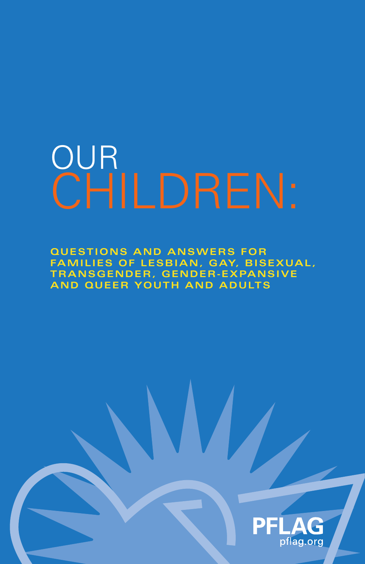## OUR CHILDREN:

**QUESTIONS AND ANSWERS FOR FAMILIES OF LESBIAN, GAY, BISEXUAL, TRANSGENDER, GENDER-EXPANSIVE AND QUEER YOUTH AND ADULTS** 

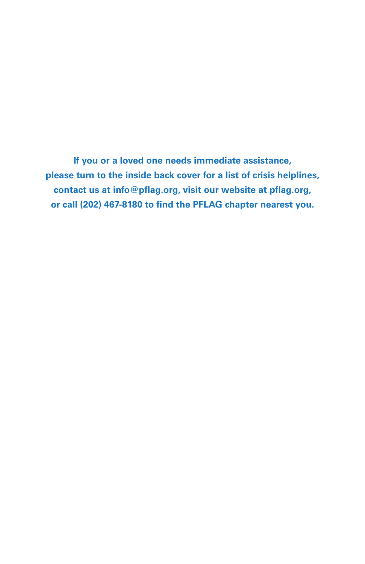**If you or a loved one needs immediate assistance, please turn to the inside back cover for a list of crisis helplines, contact us at [info@pflag.org, vi](mailto:info@pflag.org)sit our website at [pflag.org](http://www.pflag.org), or call (202) 467-8180 to find the PFLAG chapter nearest you.**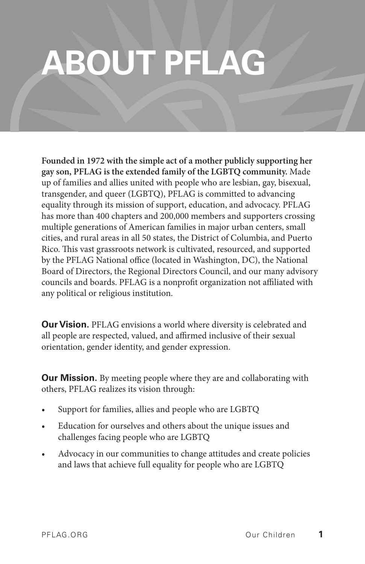## **ABOUT PFLAG**

**Founded in 1972 with the simple act of a mother publicly supporting her gay son, PFLAG is the extended family of the LGBTQ community.** Made up of families and allies united with people who are lesbian, gay, bisexual, transgender, and queer (LGBTQ), PFLAG is committed to advancing equality through its mission of support, education, and advocacy. PFLAG has more than 400 chapters and 200,000 members and supporters crossing multiple generations of American families in major urban centers, small cities, and rural areas in all 50 states, the District of Columbia, and Puerto Rico. This vast grassroots network is cultivated, resourced, and supported by the PFLAG National office (located in Washington, DC), the National Board of Directors, the Regional Directors Council, and our many advisory councils and boards. PFLAG is a nonprofit organization not affiliated with any political or religious institution.

**Our Vision.** PFLAG envisions a world where diversity is celebrated and all people are respected, valued, and affirmed inclusive of their sexual orientation, gender identity, and gender expression.

**Our Mission.** By meeting people where they are and collaborating with others, PFLAG realizes its vision through:

- Support for families, allies and people who are LGBTQ
- Education for ourselves and others about the unique issues and challenges facing people who are LGBTQ
- Advocacy in our communities to change attitudes and create policies and laws that achieve full equality for people who are LGBTQ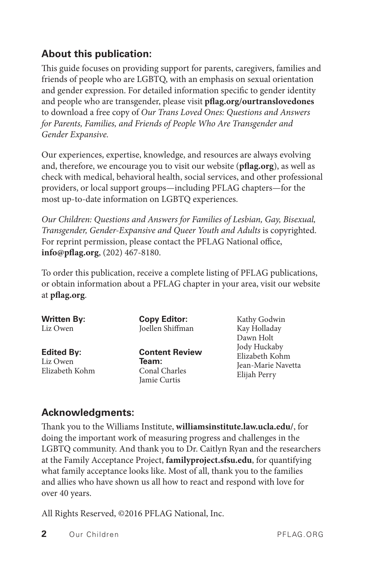#### **About this publication:**

This guide focuses on providing support for parents, caregivers, families and friends of people who are LGBTQ, with an emphasis on sexual orientation and gender expression. For detailed information specific to gender identity and people who are transgender, please visit **[pflag.org/ourtranslovedones](http://www.pflag.org/ourtranslovedones)** to download a free copy of *Our Trans Loved Ones: Questions and Answers for Parents, Families, and Friends of People Who Are Transgender and Gender Expansive.* 

Our experiences, expertise, knowledge, and resources are always evolving and, therefore, we encourage you to visit our website (**[pflag.org](http://www.pflag.org)**), as well as check with medical, behavioral health, social services, and other professional providers, or local support groups—including PFLAG chapters—for the most up-to-date information on LGBTQ experiences.

*Our Children: Questions and Answers for Families of Lesbian, Gay, Bisexual, Transgender, Gender-Expansive and Queer Youth and Adults* is copyrighted. For reprint permission, please contact the PFLAG National office, **[info@pflag.org](mailto:info@pflag.org)**, (202) 467-8180.

To order this publication, receive a complete listing of PFLAG publications, or obtain information about a PFLAG chapter in your area, visit our website at **pflag.org**.

| <b>Written By:</b><br>Liz Owen                  | <b>Copy Editor:</b><br>Joellen Shiffman                         | Kathy Godwin<br>Kay Holladay<br>Dawn Holt<br>Jody Huckaby<br>Elizabeth Kohm<br>Jean-Marie Navetta<br>Elijah Perry |
|-------------------------------------------------|-----------------------------------------------------------------|-------------------------------------------------------------------------------------------------------------------|
| <b>Edited By:</b><br>Liz Owen<br>Elizabeth Kohm | <b>Content Review</b><br>Team:<br>Conal Charles<br>Jamie Curtis |                                                                                                                   |

#### **Acknowledgments:**

Thank you to the Williams Institute, **[williamsinstitute.law.ucla.edu](http://www.williamsinstitute.law.ucla.edu/)/**, for doing the important work of measuring progress and challenges in the LGBTQ community. And thank you to Dr. Caitlyn Ryan and the researchers at the Family Acceptance Project, **[familyproject.sfsu.edu](http://www.familyproject.sfsu.edu)**, for quantifying what family acceptance looks like. Most of all, thank you to the families and allies who have shown us all how to react and respond with love for over 40 years.

All Rights Reserved, ©2016 PFLAG National, Inc.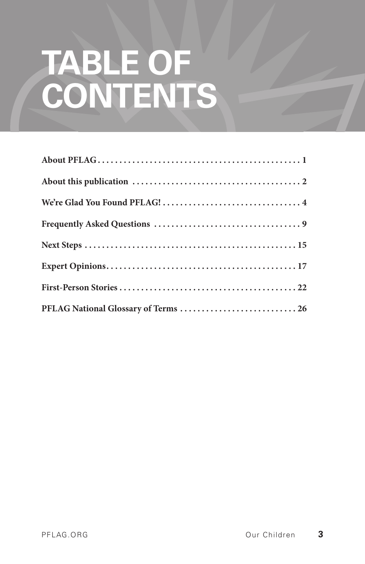# **TABLE OF CONTENTS**

| PFLAG National Glossary of Terms  26 |
|--------------------------------------|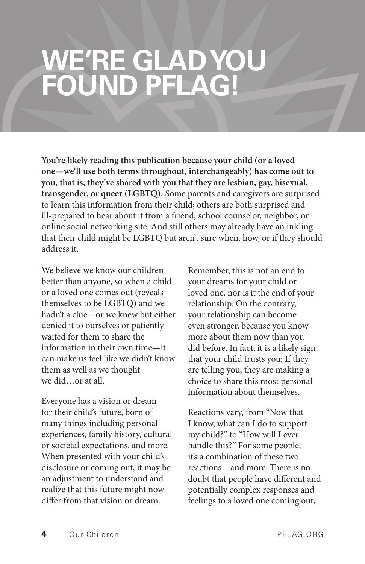### **WE'RE GLAD YOU FOUND PFLAG!**

**You're likely reading this publication because your child (or a loved one—we'll use both terms throughout, interchangeably) has come out to you, that is, they've shared with you that they are lesbian, gay, bisexual, transgender, or queer (LGBTQ).** Some parents and caregivers are surprised to learn this information from their child; others are both surprised and ill-prepared to hear about it from a friend, school counselor, neighbor, or online social networking site. And still others may already have an inkling that their child might be LGBTQ but aren't sure when, how, or if they should address it.

We believe we know our children better than anyone, so when a child or a loved one comes out (reveals themselves to be LGBTQ) and we hadn't a clue—or we knew but either denied it to ourselves or patiently waited for them to share the information in their own time—it can make us feel like we didn't know them as well as we thought we did…or at all.

Everyone has a vision or dream for their child's future, born of many things including personal experiences, family history, cultural or societal expectations, and more. When presented with your child's disclosure or coming out, it may be an adjustment to understand and realize that this future might now differ from that vision or dream.

Remember, this is not an end to your dreams for your child or loved one, nor is it the end of your relationship. On the contrary, your relationship can become even stronger, because you know more about them now than you did before. In fact, it is a likely sign that your child trusts you: If they are telling you, they are making a choice to share this most personal information about themselves.

Reactions vary, from "Now that I know, what can I do to support my child?" to "How will I ever handle this?" For some people, it's a combination of these two reactions…and more. There is no doubt that people have different and potentially complex responses and feelings to a loved one coming out,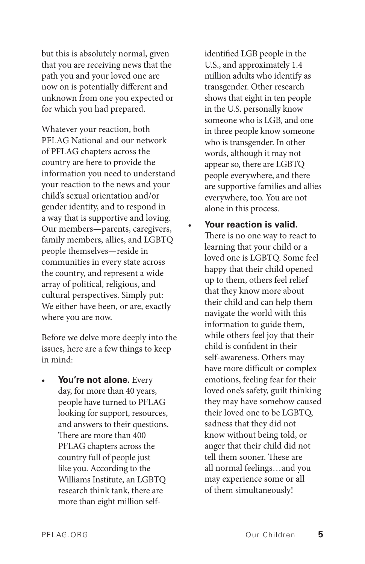but this is absolutely normal, given that you are receiving news that the path you and your loved one are now on is potentially different and unknown from one you expected or for which you had prepared.

Whatever your reaction, both PFLAG National and our network of PFLAG chapters across the country are here to provide the information you need to understand your reaction to the news and your child's sexual orientation and/or gender identity, and to respond in a way that is supportive and loving. Our members—parents, caregivers, family members, allies, and LGBTQ people themselves—reside in communities in every state across the country, and represent a wide array of political, religious, and cultural perspectives. Simply put: We either have been, or are, exactly where you are now.

Before we delve more deeply into the issues, here are a few things to keep in mind:

You're not alone. Every day, for more than 40 years, people have turned to PFLAG looking for support, resources, and answers to their questions. There are more than 400 PFLAG chapters across the country full of people just like you. According to the Williams Institute, an LGBTQ research think tank, there are more than eight million selfidentified LGB people in the U.S., and approximately 1.4 million adults who identify as transgender. Other research shows that eight in ten people in the U.S. personally know someone who is LGB, and one in three people know someone who is transgender. In other words, although it may not appear so, there are LGBTQ people everywhere, and there are supportive families and allies everywhere, too. You are not alone in this process.

• **Your reaction is valid.**  There is no one way to react to learning that your child or a loved one is LGBTQ. Some feel happy that their child opened up to them, others feel relief that they know more about their child and can help them navigate the world with this information to guide them, while others feel joy that their child is confident in their self-awareness. Others may have more difficult or complex emotions, feeling fear for their loved one's safety, guilt thinking they may have somehow caused their loved one to be LGBTQ, sadness that they did not know without being told, or anger that their child did not tell them sooner. These are all normal feelings…and you may experience some or all of them simultaneously!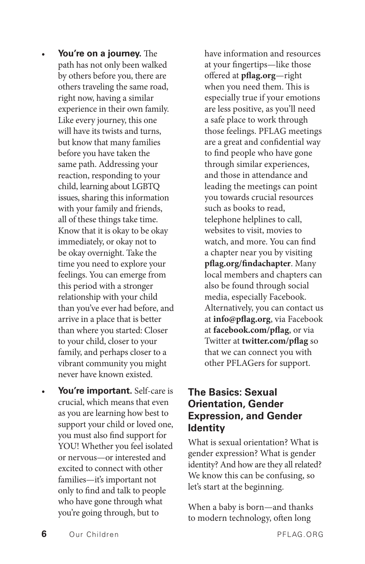- You're on a journey. The path has not only been walked by others before you, there are others traveling the same road, right now, having a similar experience in their own family. Like every journey, this one will have its twists and turns, but know that many families before you have taken the same path. Addressing your reaction, responding to your child, learning about LGBTQ issues, sharing this information with your family and friends, all of these things take time. Know that it is okay to be okay immediately, or okay not to be okay overnight. Take the time you need to explore your feelings. You can emerge from this period with a stronger relationship with your child than you've ever had before, and arrive in a place that is better than where you started: Closer to your child, closer to your family, and perhaps closer to a vibrant community you might never have known existed.
- **You're important.** Self-care is crucial, which means that even as you are learning how best to support your child or loved one, you must also find support for YOU! Whether you feel isolated or nervous—or interested and excited to connect with other families—it's important not only to find and talk to people who have gone through what you're going through, but to

have information and resources at your fingertips—like those offered at **[pflag.org](http://www.pflag.org)**—right when you need them. This is especially true if your emotions are less positive, as you'll need a safe place to work through those feelings. PFLAG meetings are a great and confidential way to find people who have gone through similar experiences, and those in attendance and leading the meetings can point you towards crucial resources such as books to read, telephone helplines to call, websites to visit, movies to watch, and more. You can find a chapter near you by visiting **[pflag.org/findachapter](http://www.pflag.org/findachapter)**. Many local members and chapters can also be found through social media, especially Facebook. Alternatively, you can contact us at **[info@pflag.org](mailto:info@pflag.org)**, via Facebook at **[facebook.com/pflag](http://www.facebook.com/pflag)**, or via Twitter at **[twitter.com/pflag](http://www.twitter.com/pflag)** so that we can connect you with other PFLAGers for support.

#### **The Basics: Sexual Orientation, Gender Expression, and Gender Identity**

What is sexual orientation? What is gender expression? What is gender identity? And how are they all related? We know this can be confusing, so let's start at the beginning.

When a baby is born—and thanks to modern technology, often long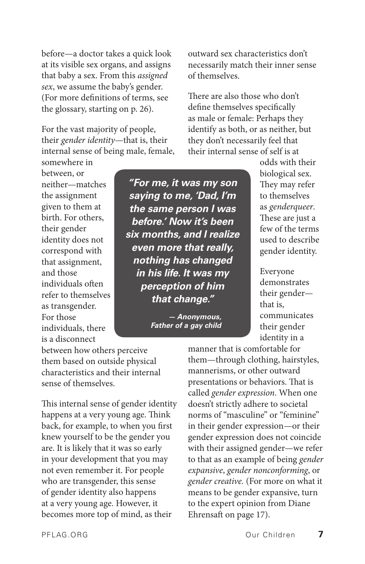before—a doctor takes a quick look at its visible sex organs, and assigns that baby a sex. From this *assigned sex*, we assume the baby's gender. (For more definitions of terms, see the glossary, starting on p. 26).

For the vast majority of people, their *gender identity*—that is, their internal sense of being male, female,

somewhere in between, or neither—matches the assignment given to them at birth. For others, their gender identity does not correspond with that assignment, and those individuals often refer to themselves as transgender. For those individuals, there is a disconnect

*"For me, it was my son saying to me, 'Dad, I'm the same person I was before.' Now it's been six months, and I realize even more that really, nothing has changed in his life. It was my perception of him that change."*

> *— Anonymous, Father of a gay child*

outward sex characteristics don't necessarily match their inner sense of themselves.

There are also those who don't define themselves specifically as male or female: Perhaps they identify as both, or as neither, but they don't necessarily feel that their internal sense of self is at

> odds with their biological sex. They may refer to themselves as *genderqueer*. These are just a few of the terms used to describe gender identity.

Everyone demonstrates their gender that is, communicates their gender identity in a

between how others perceive them based on outside physical characteristics and their internal sense of themselves.

This internal sense of gender identity happens at a very young age. Think back, for example, to when you first knew yourself to be the gender you are. It is likely that it was so early in your development that you may not even remember it. For people who are transgender, this sense of gender identity also happens at a very young age. However, it becomes more top of mind, as their

them—through clothing, hairstyles, mannerisms, or other outward presentations or behaviors. That is called *gender expression*. When one doesn't strictly adhere to societal norms of "masculine" or "feminine" in their gender expression—or their gender expression does not coincide with their assigned gender—we refer to that as an example of being *gender expansive*, *gender nonconforming*, or *gender creative.* (For more on what it means to be gender expansive, turn to the expert opinion from Diane Ehrensaft on page 17).

manner that is comfortable for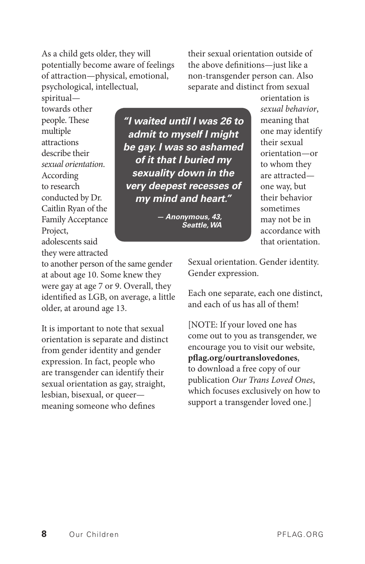As a child gets older, they will potentially become aware of feelings of attraction—physical, emotional, psychological, intellectual,

their sexual orientation outside of the above definitions—just like a non-transgender person can. Also separate and distinct from sexual

spiritual towards other people. These multiple attractions describe their *sexual orientation*. According to research conducted by Dr. Caitlin Ryan of the Family Acceptance Project, adolescents said they were attracted

*"I waited until I was 26 to admit to myself I might be gay. I was so ashamed of it that I buried my sexuality down in the very deepest recesses of my mind and heart."*

> *— Anonymous, 43, Seattle, WA*

orientation is *sexual behavior*, meaning that one may identify their sexual orientation—or to whom they are attracted one way, but their behavior sometimes may not be in accordance with that orientation.

to another person of the same gender at about age 10. Some knew they were gay at age 7 or 9. Overall, they identified as LGB, on average, a little older, at around age 13.

It is important to note that sexual orientation is separate and distinct from gender identity and gender expression. In fact, people who are transgender can identify their sexual orientation as gay, straight, lesbian, bisexual, or queer meaning someone who defines

Sexual orientation. Gender identity. Gender expression.

Each one separate, each one distinct, and each of us has all of them!

[NOTE: If your loved one has come out to you as transgender, we encourage you to visit our website, **[pflag.org/ourtranslovedones](http://www.pflag.org/ourtranslovedones)**, to download a free copy of our publication *Our Trans Loved Ones*, which focuses exclusively on how to support a transgender loved one.]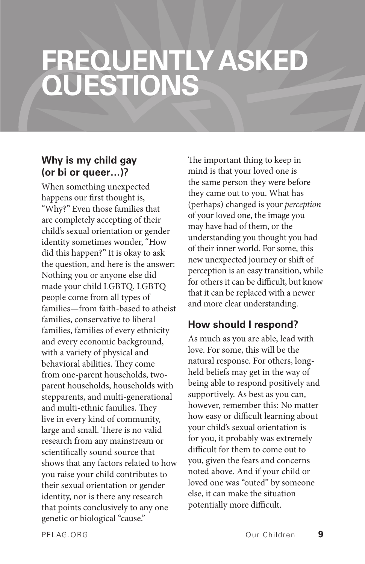### **FREQUENTLY ASKED QUESTIONS**

#### **Why is my child gay (or bi or queer…)?**

When something unexpected happens our first thought is, "Why?" Even those families that are completely accepting of their child's sexual orientation or gender identity sometimes wonder, "How did this happen?" It is okay to ask the question, and here is the answer: Nothing you or anyone else did made your child LGBTQ. LGBTQ people come from all types of families—from faith-based to atheist families, conservative to liberal families, families of every ethnicity and every economic background, with a variety of physical and behavioral abilities. They come from one-parent households, twoparent households, households with stepparents, and multi-generational and multi-ethnic families. They live in every kind of community, large and small. There is no valid research from any mainstream or scientifically sound source that shows that any factors related to how you raise your child contributes to their sexual orientation or gender identity, nor is there any research that points conclusively to any one genetic or biological "cause."

The important thing to keep in mind is that your loved one is the same person they were before they came out to you. What has (perhaps) changed is your *perception* of your loved one, the image you may have had of them, or the understanding you thought you had of their inner world. For some, this new unexpected journey or shift of perception is an easy transition, while for others it can be difficult, but know that it can be replaced with a newer and more clear understanding.

#### **How should I respond?**

As much as you are able, lead with love. For some, this will be the natural response. For others, longheld beliefs may get in the way of being able to respond positively and supportively. As best as you can, however, remember this: No matter how easy or difficult learning about your child's sexual orientation is for you, it probably was extremely difficult for them to come out to you, given the fears and concerns noted above. And if your child or loved one was "outed" by someone else, it can make the situation potentially more difficult.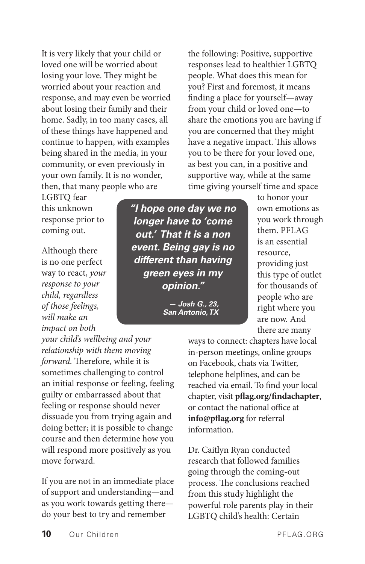It is very likely that your child or loved one will be worried about losing your love. They might be worried about your reaction and response, and may even be worried about losing their family and their home. Sadly, in too many cases, all of these things have happened and continue to happen, with examples being shared in the media, in your community, or even previously in your own family. It is no wonder, then, that many people who are

LGBTQ fear this unknown response prior to coming out.

Although there is no one perfect way to react, *your response to your child, regardless of those feelings, will make an impact on both* 

*your child's wellbeing and your relationship with them moving forward.* Therefore, while it is sometimes challenging to control an initial response or feeling, feeling guilty or embarrassed about that feeling or response should never dissuade you from trying again and doing better; it is possible to change course and then determine how you will respond more positively as you move forward.

If you are not in an immediate place of support and understanding—and as you work towards getting there do your best to try and remember

*"I hope one day we no longer have to 'come out.' That it is a non event. Being gay is no different than having green eyes in my opinion."*

> *— Josh G., 23, San Antonio, TX*

the following: Positive, supportive responses lead to healthier LGBTQ people*.* What does this mean for you? First and foremost, it means finding a place for yourself—away from your child or loved one—to share the emotions you are having if you are concerned that they might have a negative impact. This allows you to be there for your loved one, as best you can, in a positive and supportive way, while at the same time giving yourself time and space

> to honor your own emotions as you work through them. PFLAG is an essential resource, providing just this type of outlet for thousands of people who are right where you are now. And there are many

ways to connect: chapters have local in-person meetings, online groups on Facebook, chats via Twitter, telephone helplines, and can be reached via email. To find your local chapter, visit **[pflag.org/findachapter](http://www.pflag.org/findachapter)**, or contact the national office at **[info@pflag.org](mailto:info@pflag.org)** for referral information.

Dr. Caitlyn Ryan conducted research that followed families going through the coming-out process. The conclusions reached from this study highlight the powerful role parents play in their LGBTQ child's health: Certain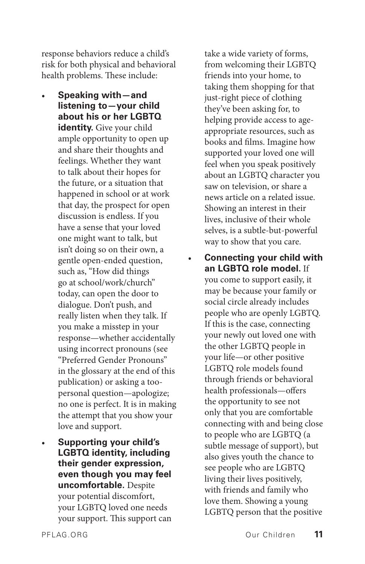response behaviors reduce a child's risk for both physical and behavioral health problems. These include:

- **Speaking with—and listening to—your child about his or her LGBTQ identity.** Give your child ample opportunity to open up and share their thoughts and feelings. Whether they want to talk about their hopes for the future, or a situation that happened in school or at work that day, the prospect for open discussion is endless. If you have a sense that your loved one might want to talk, but isn't doing so on their own, a gentle open-ended question, such as, "How did things go at school/work/church" today, can open the door to dialogue. Don't push, and really listen when they talk. If you make a misstep in your response—whether accidentally using incorrect pronouns (see "Preferred Gender Pronouns" in the glossary at the end of this publication) or asking a toopersonal question—apologize; no one is perfect. It is in making the attempt that you show your love and support.
- **Supporting your child's LGBTQ identity, including their gender expression, even though you may feel uncomfortable.** Despite your potential discomfort, your LGBTQ loved one needs your support. This support can

take a wide variety of forms, from welcoming their LGBTQ friends into your home, to taking them shopping for that just-right piece of clothing they've been asking for, to helping provide access to ageappropriate resources, such as books and films. Imagine how supported your loved one will feel when you speak positively about an LGBTQ character you saw on television, or share a news article on a related issue. Showing an interest in their lives, inclusive of their whole selves, is a subtle-but-powerful way to show that you care.

• **Connecting your child with an LGBTQ role model.** If you come to support easily, it may be because your family or social circle already includes people who are openly LGBTQ. If this is the case, connecting your newly out loved one with the other LGBTQ people in your life—or other positive LGBTQ role models found through friends or behavioral health professionals—offers the opportunity to see not only that you are comfortable connecting with and being close to people who are LGBTQ (a subtle message of support), but also gives youth the chance to see people who are LGBTQ living their lives positively, with friends and family who love them. Showing a young LGBTQ person that the positive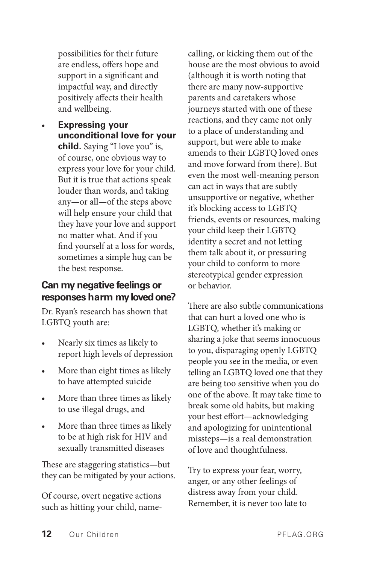possibilities for their future are endless, offers hope and support in a significant and impactful way, and directly positively affects their health and wellbeing.

• **Expressing your unconditional love for your child.** Saying "I love you" is, of course, one obvious way to express your love for your child. But it is true that actions speak louder than words, and taking any—or all—of the steps above will help ensure your child that they have your love and support no matter what. And if you find yourself at a loss for words, sometimes a simple hug can be the best response.

#### **Can my negative feelings or responses harm my loved one?**

Dr. Ryan's research has shown that LGBTQ youth are:

- Nearly six times as likely to report high levels of depression
- More than eight times as likely to have attempted suicide
- More than three times as likely to use illegal drugs, and
- More than three times as likely to be at high risk for HIV and sexually transmitted diseases

These are staggering statistics—but they can be mitigated by your actions.

Of course, overt negative actions such as hitting your child, namecalling, or kicking them out of the house are the most obvious to avoid (although it is worth noting that there are many now-supportive parents and caretakers whose journeys started with one of these reactions, and they came not only to a place of understanding and support, but were able to make amends to their LGBTQ loved ones and move forward from there). But even the most well-meaning person can act in ways that are subtly unsupportive or negative, whether it's blocking access to LGBTQ friends, events or resources, making your child keep their LGBTQ identity a secret and not letting them talk about it, or pressuring your child to conform to more stereotypical gender expression or behavior.

There are also subtle communications that can hurt a loved one who is LGBTQ, whether it's making or sharing a joke that seems innocuous to you, disparaging openly LGBTQ people you see in the media, or even telling an LGBTQ loved one that they are being too sensitive when you do one of the above. It may take time to break some old habits, but making your best effort—acknowledging and apologizing for unintentional missteps—is a real demonstration of love and thoughtfulness.

Try to express your fear, worry, anger, or any other feelings of distress away from your child. Remember, it is never too late to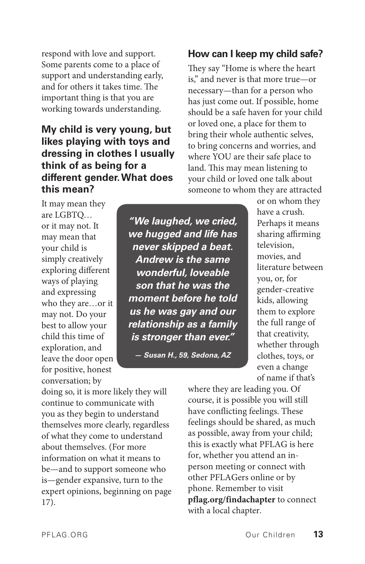respond with love and support. Some parents come to a place of support and understanding early, and for others it takes time. The important thing is that you are working towards understanding.

#### **My child is very young, but likes playing with toys and dressing in clothes I usually think of as being for a different gender. What does this mean?**

#### **How can I keep my child safe?**

They say "Home is where the heart is," and never is that more true—or necessary—than for a person who has just come out. If possible, home should be a safe haven for your child or loved one, a place for them to bring their whole authentic selves, to bring concerns and worries, and where YOU are their safe place to land. This may mean listening to your child or loved one talk about someone to whom they are attracted

It may mean they are LGBTQ… or it may not. It may mean that your child is simply creatively exploring different ways of playing and expressing who they are…or it may not. Do your best to allow your child this time of exploration, and leave the door open for positive, honest conversation; by

*"We laughed, we cried, we hugged and life has never skipped a beat. Andrew is the same wonderful, loveable son that he was the moment before he told us he was gay and our relationship as a family is stronger than ever."*

*— Susan H., 59, Sedona, AZ*

or on whom they have a crush. Perhaps it means sharing affirming television, movies, and literature between you, or, for gender-creative kids, allowing them to explore the full range of that creativity, whether through clothes, toys, or even a change of name if that's

doing so, it is more likely they will continue to communicate with you as they begin to understand themselves more clearly, regardless of what they come to understand about themselves. (For more information on what it means to be—and to support someone who is—gender expansive, turn to the expert opinions, beginning on page 17).

where they are leading you. Of course, it is possible you will still have conflicting feelings. These feelings should be shared, as much as possible, away from your child; this is exactly what PFLAG is here for, whether you attend an inperson meeting or connect with other PFLAGers online or by phone. Remember to visit **[pflag.org/findachapter](http://www.pflag.org/findachapter)** to connect with a local chapter.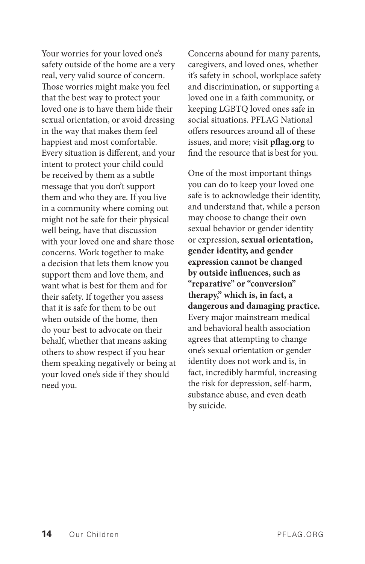Your worries for your loved one's safety outside of the home are a very real, very valid source of concern. Those worries might make you feel that the best way to protect your loved one is to have them hide their sexual orientation, or avoid dressing in the way that makes them feel happiest and most comfortable. Every situation is different, and your intent to protect your child could be received by them as a subtle message that you don't support them and who they are. If you live in a community where coming out might not be safe for their physical well being, have that discussion with your loved one and share those concerns. Work together to make a decision that lets them know you support them and love them, and want what is best for them and for their safety. If together you assess that it is safe for them to be out when outside of the home, then do your best to advocate on their behalf, whether that means asking others to show respect if you hear them speaking negatively or being at your loved one's side if they should need you.

Concerns abound for many parents, caregivers, and loved ones, whether it's safety in school, workplace safety and discrimination, or supporting a loved one in a faith community, or keeping LGBTQ loved ones safe in social situations. PFLAG National offers resources around all of these issues, and more; visit **[pflag.org](http://www.pflag.org)** to find the resource that is best for you.

One of the most important things you can do to keep your loved one safe is to acknowledge their identity, and understand that, while a person may choose to change their own sexual behavior or gender identity or expression, **sexual orientation, gender identity, and gender expression cannot be changed by outside influences, such as "reparative" or "conversion" therapy," which is, in fact, a dangerous and damaging practice.**  Every major mainstream medical and behavioral health association agrees that attempting to change one's sexual orientation or gender identity does not work and is, in fact, incredibly harmful, increasing the risk for depression, self-harm, substance abuse, and even death by suicide.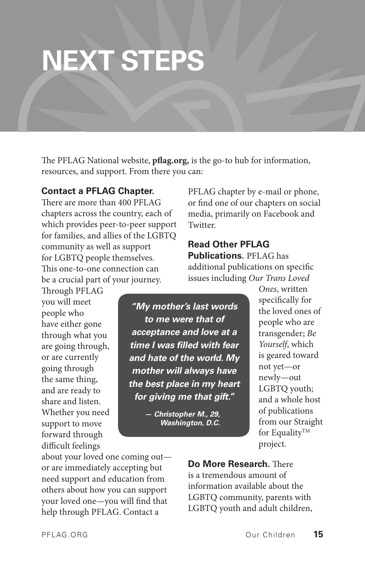## **NEXT STEPS**

The PFLAG National website, **[pflag.org,](http://www.pflag.org)** is the go-to hub for information, resources, and support. From there you can:

#### **Contact a PFLAG Chapter.**

There are more than 400 PFLAG chapters across the country, each of which provides peer-to-peer support for families, and allies of the LGBTQ community as well as support for LGBTQ people themselves. This one-to-one connection can be a crucial part of your journey.

Through PFLAG you will meet people who have either gone through what you are going through, or are currently going through the same thing, and are ready to share and listen. Whether you need support to move forward through difficult feelings

*"My mother's last words to me were that of acceptance and love at a time I was filled with fear and hate of the world. My mother will always have the best place in my heart for giving me that gift."*

> *— Christopher M., 29, Washington, D.C.*

PFLAG chapter by e-mail or phone, or find one of our chapters on social media, primarily on Facebook and Twitter.

### **Read Other PFLAG Publications.** PFLAG has

additional publications on specific issues including *Our Trans Loved* 

*Ones*, written specifically for the loved ones of people who are transgender; *Be Yourself*, which is geared toward not yet—or newly—out LGBTQ youth; and a whole host of publications from our Straight for Equality<sup>TM</sup> project.

about your loved one coming out or are immediately accepting but need support and education from others about how you can support your loved one—you will find that help through PFLAG. Contact a

**Do More Research.** There is a tremendous amount of information available about the LGBTQ community, parents with LGBTQ youth and adult children,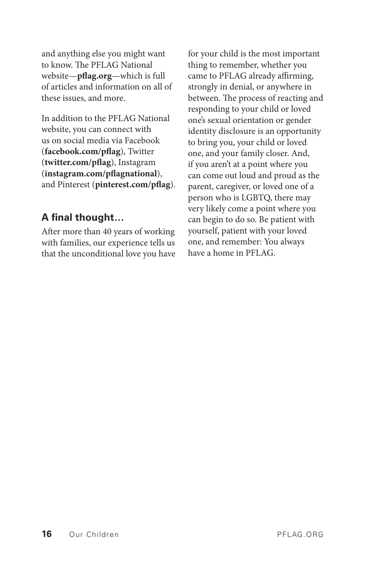and anything else you might want to know. The PFLAG National website—**[pflag.org](http://www.pflag.org)**—which is full of articles and information on all of these issues, and more.

In addition to the PFLAG National website, you can connect with us on social media via Facebook (**[facebook.com/pflag](http://www.facebook.com/pflag)**), Twitter (**[twitter.com/pflag](http://www.twitter.com/pflag)**), Instagram (**[instagram.com/pflagnational](http://www.instagram.com/pflagnational)**), and Pinterest (**[pinterest.com/pflag](http://www.pinterest.com/pflag)**).

#### **A final thought…**

After more than 40 years of working with families, our experience tells us that the unconditional love you have for your child is the most important thing to remember, whether you came to PFLAG already affirming, strongly in denial, or anywhere in between. The process of reacting and responding to your child or loved one's sexual orientation or gender identity disclosure is an opportunity to bring you, your child or loved one, and your family closer. And, if you aren't at a point where you can come out loud and proud as the parent, caregiver, or loved one of a person who is LGBTQ, there may very likely come a point where you can begin to do so. Be patient with yourself, patient with your loved one, and remember: You always have a home in PFLAG.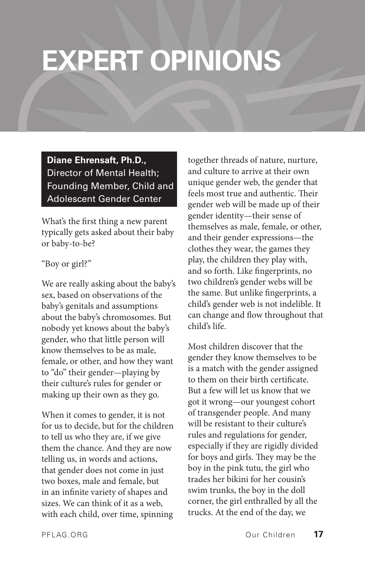### **EXPERT OPINIONS**

#### **Diane Ehrensaft, Ph.D.,** Director of Mental Health; Founding Member, Child and Adolescent Gender Center

What's the first thing a new parent typically gets asked about their baby or baby-to-be?

#### "Boy or girl?"

We are really asking about the baby's sex, based on observations of the baby's genitals and assumptions about the baby's chromosomes. But nobody yet knows about the baby's gender, who that little person will know themselves to be as male, female, or other, and how they want to "do" their gender—playing by their culture's rules for gender or making up their own as they go.

When it comes to gender, it is not for us to decide, but for the children to tell us who they are, if we give them the chance. And they are now telling us, in words and actions, that gender does not come in just two boxes, male and female, but in an infinite variety of shapes and sizes. We can think of it as a web, with each child, over time, spinning

together threads of nature, nurture, and culture to arrive at their own unique gender web, the gender that feels most true and authentic. Their gender web will be made up of their gender identity—their sense of themselves as male, female, or other, and their gender expressions—the clothes they wear, the games they play, the children they play with, and so forth. Like fingerprints, no two children's gender webs will be the same. But unlike fingerprints, a child's gender web is not indelible. It can change and flow throughout that child's life.

Most children discover that the gender they know themselves to be is a match with the gender assigned to them on their birth certificate. But a few will let us know that we got it wrong—our youngest cohort of transgender people. And many will be resistant to their culture's rules and regulations for gender, especially if they are rigidly divided for boys and girls. They may be the boy in the pink tutu, the girl who trades her bikini for her cousin's swim trunks, the boy in the doll corner, the girl enthralled by all the trucks. At the end of the day, we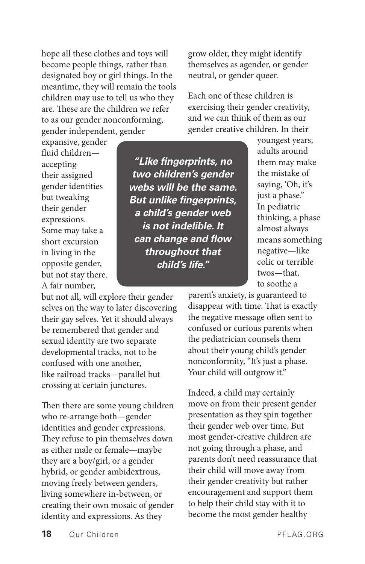hope all these clothes and toys will become people things, rather than designated boy or girl things. In the meantime, they will remain the tools children may use to tell us who they are. These are the children we refer to as our gender nonconforming, gender independent, gender

expansive, gender fluid children accepting their assigned gender identities but tweaking their gender expressions. Some may take a short excursion in living in the opposite gender, but not stay there. A fair number,

but not all, will explore their gender selves on the way to later discovering their gay selves. Yet it should always be remembered that gender and sexual identity are two separate developmental tracks, not to be confused with one another, like railroad tracks—parallel but crossing at certain junctures.

Then there are some young children who re-arrange both—gender identities and gender expressions. They refuse to pin themselves down as either male or female—maybe they are a boy/girl, or a gender hybrid, or gender ambidextrous, moving freely between genders, living somewhere in-between, or creating their own mosaic of gender identity and expressions. As they

grow older, they might identify themselves as agender, or gender neutral, or gender queer.

Each one of these children is exercising their gender creativity, and we can think of them as our gender creative children. In their

*"Like fingerprints, no two children's gender webs will be the same. But unlike fingerprints, a child's gender web is not indelible. It can change and flow throughout that child's life."*

youngest years, adults around them may make the mistake of saying, 'Oh, it's just a phase." In pediatric thinking, a phase almost always means something negative—like colic or terrible twos—that, to soothe a

parent's anxiety, is guaranteed to disappear with time. That is exactly the negative message often sent to confused or curious parents when the pediatrician counsels them about their young child's gender nonconformity, "It's just a phase. Your child will outgrow it."

Indeed, a child may certainly move on from their present gender presentation as they spin together their gender web over time. But most gender-creative children are not going through a phase, and parents don't need reassurance that their child will move away from their gender creativity but rather encouragement and support them to help their child stay with it to become the most gender healthy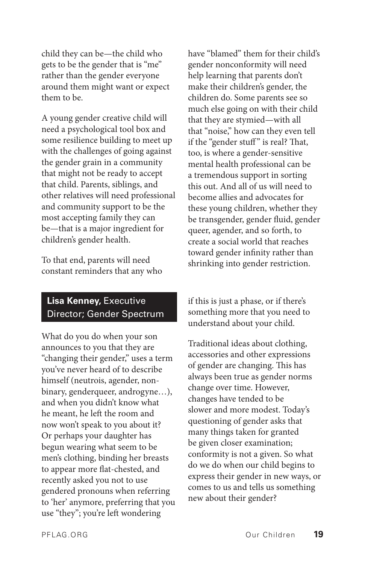child they can be—the child who gets to be the gender that is "me" rather than the gender everyone around them might want or expect them to be.

A young gender creative child will need a psychological tool box and some resilience building to meet up with the challenges of going against the gender grain in a community that might not be ready to accept that child. Parents, siblings, and other relatives will need professional and community support to be the most accepting family they can be—that is a major ingredient for children's gender health.

To that end, parents will need constant reminders that any who

#### **Lisa Kenney,** Executive Director; Gender Spectrum

What do you do when your son announces to you that they are "changing their gender," uses a term you've never heard of to describe himself (neutrois, agender, nonbinary, genderqueer, androgyne…), and when you didn't know what he meant, he left the room and now won't speak to you about it? Or perhaps your daughter has begun wearing what seem to be men's clothing, binding her breasts to appear more flat-chested, and recently asked you not to use gendered pronouns when referring to 'her' anymore, preferring that you use "they"; you're left wondering

have "blamed" them for their child's gender nonconformity will need help learning that parents don't make their children's gender, the children do. Some parents see so much else going on with their child that they are stymied—with all that "noise," how can they even tell if the "gender stuff" is real? That, too, is where a gender-sensitive mental health professional can be a tremendous support in sorting this out. And all of us will need to become allies and advocates for these young children, whether they be transgender, gender fluid, gender queer, agender, and so forth, to create a social world that reaches toward gender infinity rather than shrinking into gender restriction.

if this is just a phase, or if there's something more that you need to understand about your child.

Traditional ideas about clothing, accessories and other expressions of gender are changing. This has always been true as gender norms change over time. However, changes have tended to be slower and more modest. Today's questioning of gender asks that many things taken for granted be given closer examination; conformity is not a given. So what do we do when our child begins to express their gender in new ways, or comes to us and tells us something new about their gender?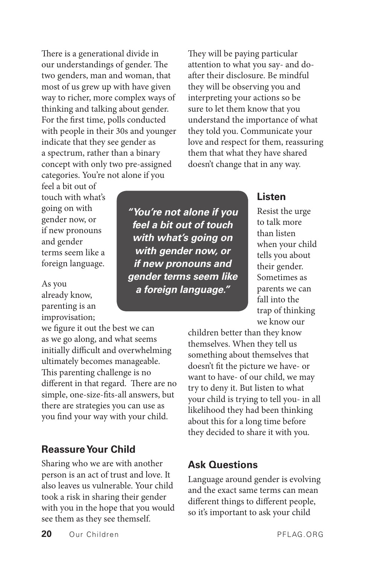There is a generational divide in our understandings of gender. The two genders, man and woman, that most of us grew up with have given way to richer, more complex ways of thinking and talking about gender. For the first time, polls conducted with people in their 30s and younger indicate that they see gender as a spectrum, rather than a binary concept with only two pre-assigned categories. You're not alone if you

They will be paying particular attention to what you say- and doafter their disclosure. Be mindful they will be observing you and interpreting your actions so be sure to let them know that you understand the importance of what they told you. Communicate your love and respect for them, reassuring them that what they have shared doesn't change that in any way.

feel a bit out of touch with what's going on with gender now, or if new pronouns and gender terms seem like a foreign language.

As you already know, parenting is an improvisation;

we figure it out the best we can as we go along, and what seems initially difficult and overwhelming ultimately becomes manageable. This parenting challenge is no different in that regard. There are no simple, one-size-fits-all answers, but there are strategies you can use as you find your way with your child.

#### **Reassure Your Child**

Sharing who we are with another person is an act of trust and love. It also leaves us vulnerable. Your child took a risk in sharing their gender with you in the hope that you would see them as they see themself.

*"You're not alone if you feel a bit out of touch with what's going on with gender now, or if new pronouns and gender terms seem like a foreign language."*

#### **Listen**

Resist the urge to talk more than listen when your child tells you about their gender. Sometimes as parents we can fall into the trap of thinking we know our

children better than they know themselves. When they tell us something about themselves that doesn't fit the picture we have- or want to have- of our child, we may try to deny it. But listen to what your child is trying to tell you- in all likelihood they had been thinking about this for a long time before they decided to share it with you.

#### **Ask Questions**

Language around gender is evolving and the exact same terms can mean different things to different people, so it's important to ask your child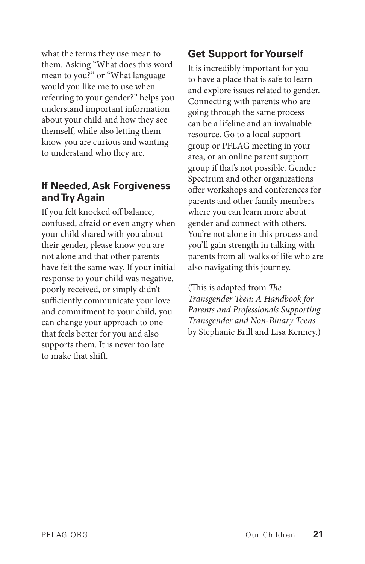what the terms they use mean to them. Asking "What does this word mean to you?" or "What language would you like me to use when referring to your gender?" helps you understand important information about your child and how they see themself, while also letting them know you are curious and wanting to understand who they are.

#### **If Needed, Ask Forgiveness and Try Again**

If you felt knocked off balance, confused, afraid or even angry when your child shared with you about their gender, please know you are not alone and that other parents have felt the same way. If your initial response to your child was negative, poorly received, or simply didn't sufficiently communicate your love and commitment to your child, you can change your approach to one that feels better for you and also supports them. It is never too late to make that shift.

#### **Get Support for Yourself**

It is incredibly important for you to have a place that is safe to learn and explore issues related to gender. Connecting with parents who are going through the same process can be a lifeline and an invaluable resource. Go to a local support group or PFLAG meeting in your area, or an online parent support group if that's not possible. Gender Spectrum and other organizations offer workshops and conferences for parents and other family members where you can learn more about gender and connect with others. You're not alone in this process and you'll gain strength in talking with parents from all walks of life who are also navigating this journey.

(This is adapted from *The Transgender Teen: A Handbook for Parents and Professionals Supporting Transgender and Non-Binary Teens*  by Stephanie Brill and Lisa Kenney.)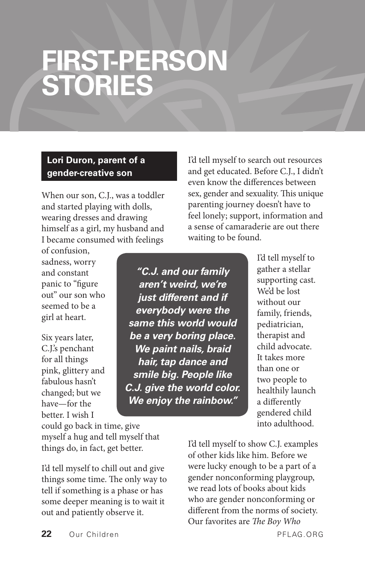### **FIRST-PERSON STORIES**

#### **Lori Duron, parent of a gender-creative son**

When our son, C.J., was a toddler and started playing with dolls, wearing dresses and drawing himself as a girl, my husband and I became consumed with feelings

of confusion, sadness, worry and constant panic to "figure out" our son who seemed to be a girl at heart.

Six years later, C.J.'s penchant for all things pink, glittery and fabulous hasn't changed; but we have—for the better. I wish I

could go back in time, give myself a hug and tell myself that things do, in fact, get better.

I'd tell myself to chill out and give things some time. The only way to tell if something is a phase or has some deeper meaning is to wait it out and patiently observe it.

*"C.J. and our family aren't weird, we're just different and if everybody were the same this world would be a very boring place. We paint nails, braid hair, tap dance and smile big. People like C.J. give the world color. We enjoy the rainbow."*

I'd tell myself to search out resources and get educated. Before C.J., I didn't even know the differences between sex, gender and sexuality. This unique parenting journey doesn't have to feel lonely; support, information and a sense of camaraderie are out there waiting to be found.

> I'd tell myself to gather a stellar supporting cast. We'd be lost without our family, friends, pediatrician, therapist and child advocate. It takes more than one or two people to healthily launch a differently gendered child into adulthood.

I'd tell myself to show C.J. examples of other kids like him. Before we were lucky enough to be a part of a gender nonconforming playgroup, we read lots of books about kids who are gender nonconforming or different from the norms of society. Our favorites are *The Boy Who*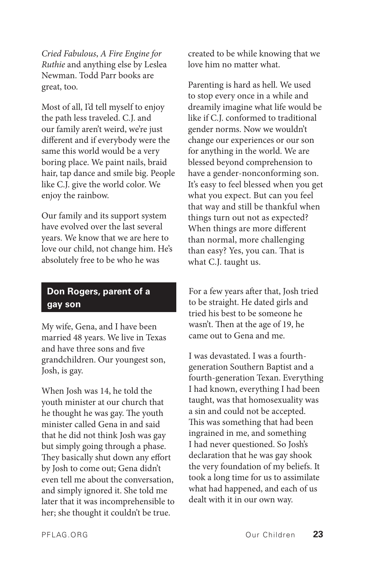*Cried Fabulous*, *A Fire Engine for Ruthie* and anything else by Leslea Newman. Todd Parr books are great, too.

Most of all, I'd tell myself to enjoy the path less traveled. C.J. and our family aren't weird, we're just different and if everybody were the same this world would be a very boring place. We paint nails, braid hair, tap dance and smile big. People like C.J. give the world color. We enjoy the rainbow.

Our family and its support system have evolved over the last several years. We know that we are here to love our child, not change him. He's absolutely free to be who he was

#### **Don Rogers, parent of a gay son**

My wife, Gena, and I have been married 48 years. We live in Texas and have three sons and five grandchildren. Our youngest son, Josh, is gay.

When Josh was 14, he told the youth minister at our church that he thought he was gay. The youth minister called Gena in and said that he did not think Josh was gay but simply going through a phase. They basically shut down any effort by Josh to come out; Gena didn't even tell me about the conversation, and simply ignored it. She told me later that it was incomprehensible to her; she thought it couldn't be true.

created to be while knowing that we love him no matter what.

Parenting is hard as hell. We used to stop every once in a while and dreamily imagine what life would be like if C.J. conformed to traditional gender norms. Now we wouldn't change our experiences or our son for anything in the world. We are blessed beyond comprehension to have a gender-nonconforming son. It's easy to feel blessed when you get what you expect. But can you feel that way and still be thankful when things turn out not as expected? When things are more different than normal, more challenging than easy? Yes, you can. That is what C.J. taught us.

For a few years after that, Josh tried to be straight. He dated girls and tried his best to be someone he wasn't. Then at the age of 19, he came out to Gena and me.

I was devastated. I was a fourthgeneration Southern Baptist and a fourth-generation Texan. Everything I had known, everything I had been taught, was that homosexuality was a sin and could not be accepted. This was something that had been ingrained in me, and something I had never questioned. So Josh's declaration that he was gay shook the very foundation of my beliefs. It took a long time for us to assimilate what had happened, and each of us dealt with it in our own way.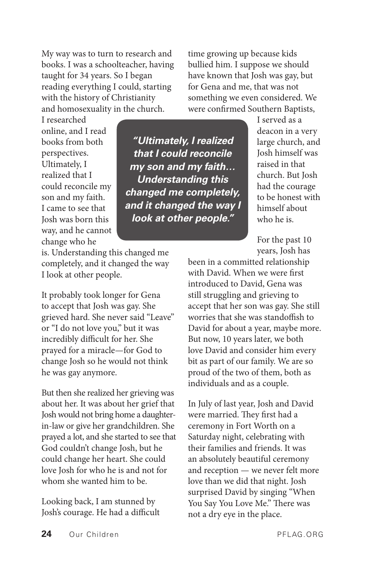My way was to turn to research and books. I was a schoolteacher, having taught for 34 years. So I began reading everything I could, starting with the history of Christianity and homosexuality in the church.

time growing up because kids bullied him. I suppose we should have known that Josh was gay, but for Gena and me, that was not something we even considered. We were confirmed Southern Baptists,

I researched online, and I read books from both perspectives. Ultimately, I realized that I could reconcile my son and my faith. I came to see that Josh was born this way, and he cannot change who he

*"Ultimately, I realized that I could reconcile my son and my faith… Understanding this changed me completely, and it changed the way I look at other people."*

is. Understanding this changed me completely, and it changed the way I look at other people.

It probably took longer for Gena to accept that Josh was gay. She grieved hard. She never said "Leave" or "I do not love you," but it was incredibly difficult for her. She prayed for a miracle—for God to change Josh so he would not think he was gay anymore.

But then she realized her grieving was about her. It was about her grief that Josh would not bring home a daughterin-law or give her grandchildren. She prayed a lot, and she started to see that God couldn't change Josh, but he could change her heart. She could love Josh for who he is and not for whom she wanted him to be.

Looking back, I am stunned by Josh's courage. He had a difficult

I served as a deacon in a very large church, and Josh himself was raised in that church. But Josh had the courage to be honest with himself about who he is.

For the past 10 years, Josh has

been in a committed relationship with David. When we were first introduced to David, Gena was still struggling and grieving to accept that her son was gay. She still worries that she was standoffish to David for about a year, maybe more. But now, 10 years later, we both love David and consider him every bit as part of our family. We are so proud of the two of them, both as individuals and as a couple.

In July of last year, Josh and David were married. They first had a ceremony in Fort Worth on a Saturday night, celebrating with their families and friends. It was an absolutely beautiful ceremony and reception — we never felt more love than we did that night. Josh surprised David by singing "When You Say You Love Me." There was not a dry eye in the place.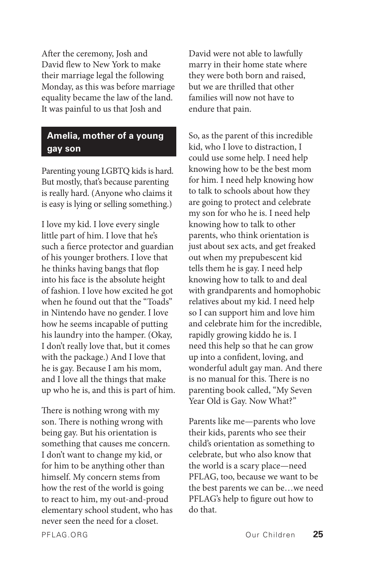After the ceremony, Josh and David flew to New York to make their marriage legal the following Monday, as this was before marriage equality became the law of the land. It was painful to us that Josh and

#### **Amelia, mother of a young gay son**

Parenting young LGBTQ kids is hard. But mostly, that's because parenting is really hard. (Anyone who claims it is easy is lying or selling something.)

I love my kid. I love every single little part of him. I love that he's such a fierce protector and guardian of his younger brothers. I love that he thinks having bangs that flop into his face is the absolute height of fashion. I love how excited he got when he found out that the "Toads" in Nintendo have no gender. I love how he seems incapable of putting his laundry into the hamper. (Okay, I don't really love that, but it comes with the package.) And I love that he is gay. Because I am his mom, and I love all the things that make up who he is, and this is part of him.

There is nothing wrong with my son. There is nothing wrong with being gay. But his orientation is something that causes me concern. I don't want to change my kid, or for him to be anything other than himself. My concern stems from how the rest of the world is going to react to him, my out-and-proud elementary school student, who has never seen the need for a closet.

David were not able to lawfully marry in their home state where they were both born and raised, but we are thrilled that other families will now not have to endure that pain.

So, as the parent of this incredible kid, who I love to distraction, I could use some help. I need help knowing how to be the best mom for him. I need help knowing how to talk to schools about how they are going to protect and celebrate my son for who he is. I need help knowing how to talk to other parents, who think orientation is just about sex acts, and get freaked out when my prepubescent kid tells them he is gay. I need help knowing how to talk to and deal with grandparents and homophobic relatives about my kid. I need help so I can support him and love him and celebrate him for the incredible, rapidly growing kiddo he is. I need this help so that he can grow up into a confident, loving, and wonderful adult gay man. And there is no manual for this. There is no parenting book called, "My Seven Year Old is Gay. Now What?"

Parents like me—parents who love their kids, parents who see their child's orientation as something to celebrate, but who also know that the world is a scary place—need PFLAG, too, because we want to be the best parents we can be…we need PFLAG's help to figure out how to do that.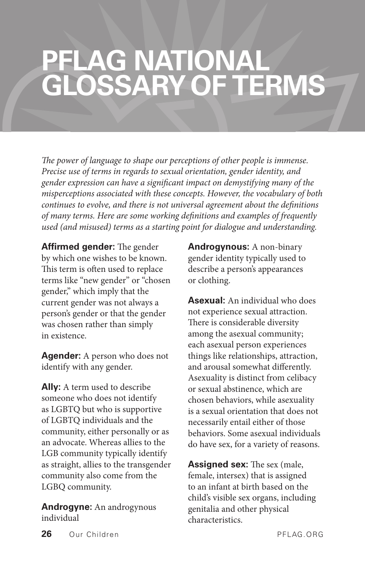### **PFLAG NATIONAL GLOSSARY OF TERMS**

*The power of language to shape our perceptions of other people is immense. Precise use of terms in regards to sexual orientation, gender identity, and gender expression can have a significant impact on demystifying many of the misperceptions associated with these concepts. However, the vocabulary of both continues to evolve, and there is not universal agreement about the definitions of many terms. Here are some working definitions and examples of frequently used (and misused) terms as a starting point for dialogue and understanding.*

**Affirmed gender:** The gender by which one wishes to be known. This term is often used to replace terms like "new gender" or "chosen gender," which imply that the current gender was not always a person's gender or that the gender was chosen rather than simply in existence.

**Agender:** A person who does not identify with any gender.

**Ally:** A term used to describe someone who does not identify as LGBTQ but who is supportive of LGBTQ individuals and the community, either personally or as an advocate. Whereas allies to the LGB community typically identify as straight, allies to the transgender community also come from the LGBQ community.

**Androgyne:** An androgynous individual

**Androgynous:** A non-binary gender identity typically used to describe a person's appearances or clothing.

**Asexual:** An individual who does not experience sexual attraction. There is considerable diversity among the asexual community; each asexual person experiences things like relationships, attraction, and arousal somewhat differently. Asexuality is distinct from celibacy or sexual abstinence, which are chosen behaviors, while asexuality is a sexual orientation that does not necessarily entail either of those behaviors. Some asexual individuals do have sex, for a variety of reasons.

**Assigned sex:** The sex (male, female, intersex) that is assigned to an infant at birth based on the child's visible sex organs, including genitalia and other physical characteristics.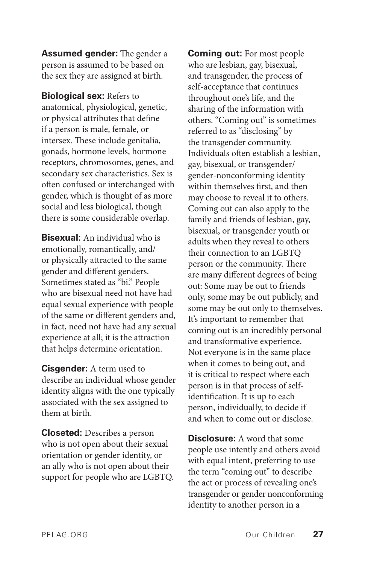**Assumed gender:** The gender a person is assumed to be based on the sex they are assigned at birth.

**Biological sex:** Refers to anatomical, physiological, genetic, or physical attributes that define if a person is male, female, or intersex. These include genitalia, gonads, hormone levels, hormone receptors, chromosomes, genes, and secondary sex characteristics. Sex is often confused or interchanged with gender, which is thought of as more social and less biological, though there is some considerable overlap.

**Bisexual:** An individual who is emotionally, romantically, and/ or physically attracted to the same gender and different genders. Sometimes stated as "bi." People who are bisexual need not have had equal sexual experience with people of the same or different genders and, in fact, need not have had any sexual experience at all; it is the attraction that helps determine orientation.

**Cisgender:** A term used to describe an individual whose gender identity aligns with the one typically associated with the sex assigned to them at birth.

**Closeted:** Describes a person who is not open about their sexual orientation or gender identity, or an ally who is not open about their support for people who are LGBTQ. **Coming out:** For most people who are lesbian, gay, bisexual, and transgender, the process of self-acceptance that continues throughout one's life, and the sharing of the information with others. "Coming out" is sometimes referred to as "disclosing" by the transgender community. Individuals often establish a lesbian, gay, bisexual, or transgender/ gender-nonconforming identity within themselves first, and then may choose to reveal it to others. Coming out can also apply to the family and friends of lesbian, gay, bisexual, or transgender youth or adults when they reveal to others their connection to an LGBTQ person or the community. There are many different degrees of being out: Some may be out to friends only, some may be out publicly, and some may be out only to themselves. It's important to remember that coming out is an incredibly personal and transformative experience. Not everyone is in the same place when it comes to being out, and it is critical to respect where each person is in that process of selfidentification. It is up to each person, individually, to decide if and when to come out or disclose.

**Disclosure:** A word that some people use intently and others avoid with equal intent, preferring to use the term "coming out" to describe the act or process of revealing one's transgender or gender nonconforming identity to another person in a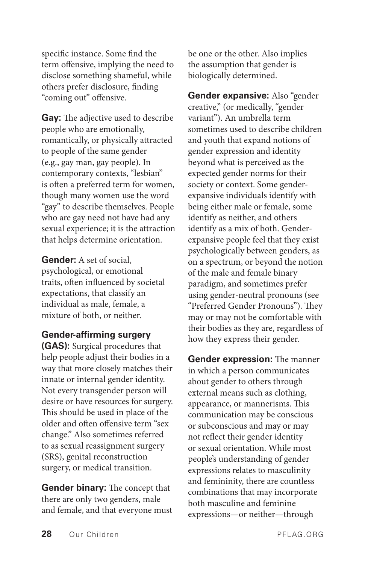specific instance. Some find the term offensive, implying the need to disclose something shameful, while others prefer disclosure, finding "coming out" offensive.

**Gay:** The adjective used to describe people who are emotionally, romantically, or physically attracted to people of the same gender (e.g., gay man, gay people). In contemporary contexts, "lesbian" is often a preferred term for women, though many women use the word "gay" to describe themselves. People who are gay need not have had any sexual experience; it is the attraction that helps determine orientation.

**Gender:** A set of social, psychological, or emotional traits, often influenced by societal expectations, that classify an individual as male, female, a mixture of both, or neither.

#### **Gender-affirming surgery**

**(GAS):** Surgical procedures that help people adjust their bodies in a way that more closely matches their innate or internal gender identity. Not every transgender person will desire or have resources for surgery. This should be used in place of the older and often offensive term "sex change." Also sometimes referred to as sexual reassignment surgery (SRS), genital reconstruction surgery, or medical transition.

**Gender binary:** The concept that there are only two genders, male and female, and that everyone must be one or the other. Also implies the assumption that gender is biologically determined.

**Gender expansive:** Also "gender creative," (or medically, "gender variant"). An umbrella term sometimes used to describe children and youth that expand notions of gender expression and identity beyond what is perceived as the expected gender norms for their society or context. Some genderexpansive individuals identify with being either male or female, some identify as neither, and others identify as a mix of both. Genderexpansive people feel that they exist psychologically between genders, as on a spectrum, or beyond the notion of the male and female binary paradigm, and sometimes prefer using gender-neutral pronouns (see "Preferred Gender Pronouns"). They may or may not be comfortable with their bodies as they are, regardless of how they express their gender.

**Gender expression:** The manner in which a person communicates about gender to others through external means such as clothing, appearance, or mannerisms. This communication may be conscious or subconscious and may or may not reflect their gender identity or sexual orientation. While most people's understanding of gender expressions relates to masculinity and femininity, there are countless combinations that may incorporate both masculine and feminine expressions—or neither—through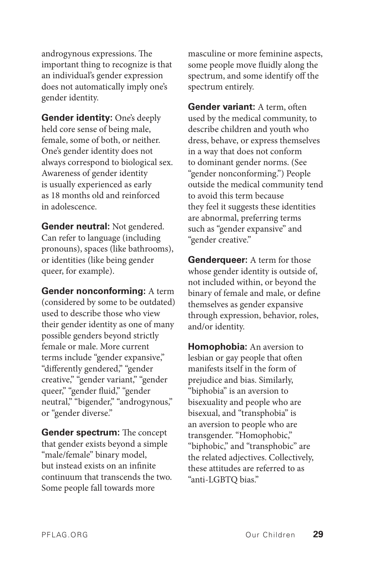androgynous expressions. The important thing to recognize is that an individual's gender expression does not automatically imply one's gender identity.

**Gender identity:** One's deeply held core sense of being male, female, some of both, or neither. One's gender identity does not always correspond to biological sex. Awareness of gender identity is usually experienced as early as 18 months old and reinforced in adolescence.

**Gender neutral:** Not gendered. Can refer to language (including pronouns), spaces (like bathrooms), or identities (like being gender queer, for example).

**Gender nonconforming:** A term (considered by some to be outdated) used to describe those who view their gender identity as one of many possible genders beyond strictly female or male. More current terms include "gender expansive," "differently gendered," "gender creative," "gender variant," "gender queer," "gender fluid," "gender neutral," "bigender," "androgynous," or "gender diverse."

**Gender spectrum:** The concept that gender exists beyond a simple "male/female" binary model, but instead exists on an infinite continuum that transcends the two. Some people fall towards more

masculine or more feminine aspects, some people move fluidly along the spectrum, and some identify off the spectrum entirely.

**Gender variant:** A term, often used by the medical community, to describe children and youth who dress, behave, or express themselves in a way that does not conform to dominant gender norms. (See "gender nonconforming.") People outside the medical community tend to avoid this term because they feel it suggests these identities are abnormal, preferring terms such as "gender expansive" and "gender creative."

**Genderqueer:** A term for those whose gender identity is outside of, not included within, or beyond the binary of female and male, or define themselves as gender expansive through expression, behavior, roles, and/or identity.

**Homophobia:** An aversion to lesbian or gay people that often manifests itself in the form of prejudice and bias. Similarly, "biphobia" is an aversion to bisexuality and people who are bisexual, and "transphobia" is an aversion to people who are transgender. "Homophobic," "biphobic," and "transphobic" are the related adjectives. Collectively, these attitudes are referred to as "anti-LGBTQ bias."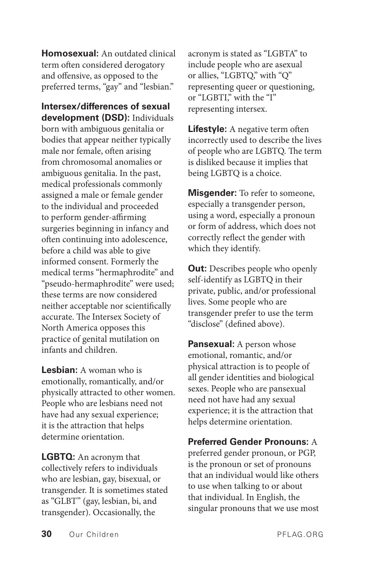**Homosexual:** An outdated clinical term often considered derogatory and offensive, as opposed to the preferred terms, "gay" and "lesbian."

**Intersex/differences of sexual development (DSD):** Individuals born with ambiguous genitalia or bodies that appear neither typically male nor female, often arising from chromosomal anomalies or ambiguous genitalia. In the past, medical professionals commonly assigned a male or female gender to the individual and proceeded to perform gender-affirming surgeries beginning in infancy and often continuing into adolescence, before a child was able to give informed consent. Formerly the medical terms "hermaphrodite" and "pseudo-hermaphrodite" were used; these terms are now considered neither acceptable nor scientifically accurate. The Intersex Society of North America opposes this practice of genital mutilation on infants and children.

**Lesbian:** A woman who is emotionally, romantically, and/or physically attracted to other women. People who are lesbians need not have had any sexual experience; it is the attraction that helps determine orientation.

**LGBTQ:** An acronym that collectively refers to individuals who are lesbian, gay, bisexual, or transgender. It is sometimes stated as "GLBT" (gay, lesbian, bi, and transgender). Occasionally, the

acronym is stated as "LGBTA" to include people who are asexual or allies, "LGBTQ," with "Q" representing queer or questioning, or "LGBTI," with the "I" representing intersex.

**Lifestyle:** A negative term often incorrectly used to describe the lives of people who are LGBTQ. The term is disliked because it implies that being LGBTQ is a choice.

**Misgender:** To refer to someone, especially a transgender person, using a word, especially a pronoun or form of address, which does not correctly reflect the gender with which they identify.

**Out:** Describes people who openly self-identify as LGBTQ in their private, public, and/or professional lives. Some people who are transgender prefer to use the term "disclose" (defined above).

**Pansexual:** A person whose emotional, romantic, and/or physical attraction is to people of all gender identities and biological sexes. People who are pansexual need not have had any sexual experience; it is the attraction that helps determine orientation.

**Preferred Gender Pronouns:** A preferred gender pronoun, or PGP, is the pronoun or set of pronouns that an individual would like others to use when talking to or about that individual. In English, the singular pronouns that we use most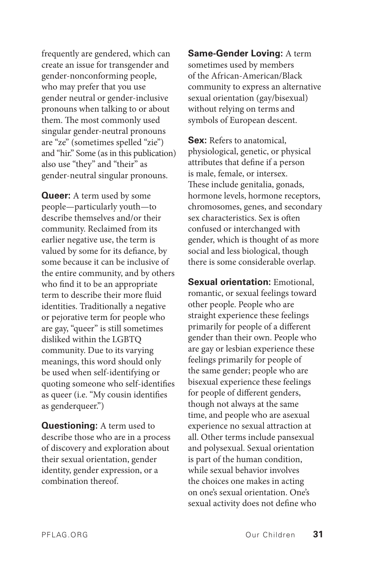frequently are gendered, which can create an issue for transgender and gender-nonconforming people, who may prefer that you use gender neutral or gender-inclusive pronouns when talking to or about them. The most commonly used singular gender-neutral pronouns are "ze" (sometimes spelled "zie") and "hir." Some (as in this publication) also use "they" and "their" as gender-neutral singular pronouns.

**Queer:** A term used by some people—particularly youth—to describe themselves and/or their community. Reclaimed from its earlier negative use, the term is valued by some for its defiance, by some because it can be inclusive of the entire community, and by others who find it to be an appropriate term to describe their more fluid identities. Traditionally a negative or pejorative term for people who are gay, "queer" is still sometimes disliked within the LGBTQ community. Due to its varying meanings, this word should only be used when self-identifying or quoting someone who self-identifies as queer (i.e. "My cousin identifies as genderqueer.")

**Questioning:** A term used to describe those who are in a process of discovery and exploration about their sexual orientation, gender identity, gender expression, or a combination thereof.

**Same-Gender Loving:** A term sometimes used by members of the African-American/Black community to express an alternative sexual orientation (gay/bisexual) without relying on terms and symbols of European descent.

**Sex:** Refers to anatomical, physiological, genetic, or physical attributes that define if a person is male, female, or intersex. These include genitalia, gonads, hormone levels, hormone receptors, chromosomes, genes, and secondary sex characteristics. Sex is often confused or interchanged with gender, which is thought of as more social and less biological, though there is some considerable overlap.

**Sexual orientation:** Emotional, romantic, or sexual feelings toward other people. People who are straight experience these feelings primarily for people of a different gender than their own. People who are gay or lesbian experience these feelings primarily for people of the same gender; people who are bisexual experience these feelings for people of different genders, though not always at the same time, and people who are asexual experience no sexual attraction at all. Other terms include pansexual and polysexual. Sexual orientation is part of the human condition, while sexual behavior involves the choices one makes in acting on one's sexual orientation. One's sexual activity does not define who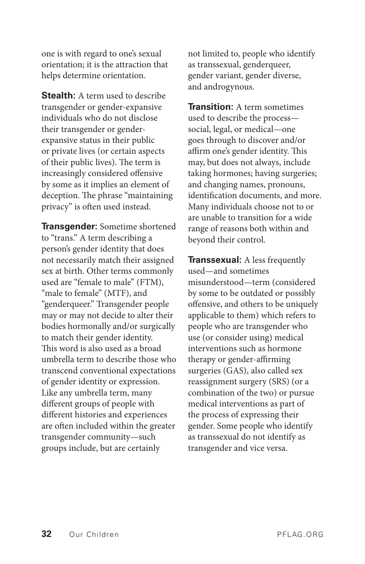one is with regard to one's sexual orientation; it is the attraction that helps determine orientation.

**Stealth:** A term used to describe transgender or gender-expansive individuals who do not disclose their transgender or genderexpansive status in their public or private lives (or certain aspects of their public lives). The term is increasingly considered offensive by some as it implies an element of deception. The phrase "maintaining privacy" is often used instead.

**Transgender:** Sometime shortened to "trans." A term describing a person's gender identity that does not necessarily match their assigned sex at birth. Other terms commonly used are "female to male" (FTM), "male to female" (MTF), and "genderqueer." Transgender people may or may not decide to alter their bodies hormonally and/or surgically to match their gender identity. This word is also used as a broad umbrella term to describe those who transcend conventional expectations of gender identity or expression. Like any umbrella term, many different groups of people with different histories and experiences are often included within the greater transgender community—such groups include, but are certainly

not limited to, people who identify as transsexual, genderqueer, gender variant, gender diverse, and androgynous.

**Transition:** A term sometimes used to describe the process social, legal, or medical—one goes through to discover and/or affirm one's gender identity. This may, but does not always, include taking hormones; having surgeries; and changing names, pronouns, identification documents, and more. Many individuals choose not to or are unable to transition for a wide range of reasons both within and beyond their control.

**Transsexual:** A less frequently used—and sometimes misunderstood—term (considered by some to be outdated or possibly offensive, and others to be uniquely applicable to them) which refers to people who are transgender who use (or consider using) medical interventions such as hormone therapy or gender-affirming surgeries (GAS), also called sex reassignment surgery (SRS) (or a combination of the two) or pursue medical interventions as part of the process of expressing their gender. Some people who identify as transsexual do not identify as transgender and vice versa.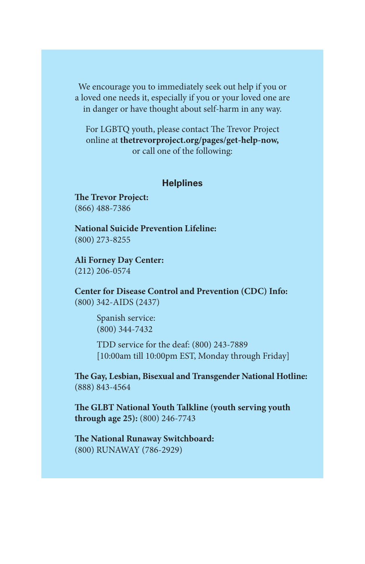We encourage you to immediately seek out help if you or a loved one needs it, especially if you or your loved one are in danger or have thought about self-harm in any way.

For LGBTQ youth, please contact The Trevor Project online at **[thetrevorproject.org/pages/get-help-now,](http://www.thetrevorproject.org/pages/get-help-now)** or call one of the following:

#### **Helplines**

**The Trevor Project:**  (866) 488-7386

**National Suicide Prevention Lifeline:**  (800) 273-8255

**Ali Forney Day Center:**  (212) 206-0574

**Center for Disease Control and Prevention (CDC) Info:**  (800) 342-AIDS (2437)

> Spanish service: (800) 344-7432

TDD service for the deaf: (800) 243-7889 [10:00am till 10:00pm EST, Monday through Friday]

**The Gay, Lesbian, Bisexual and Transgender National Hotline:**  (888) 843-4564

**The GLBT National Youth Talkline (youth serving youth through age 25):** (800) 246-7743

**The National Runaway Switchboard:**  (800) RUNAWAY (786-2929)